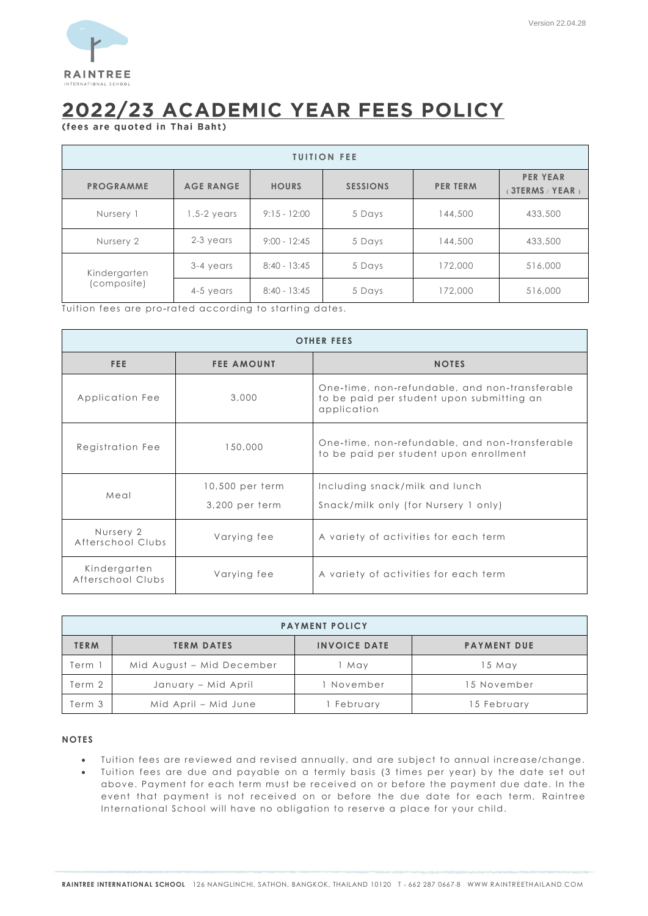

# 2022/23 ACADEMIC YEAR FEES POLICY

(fees are quoted in Thai Baht)

| <b>TUITION FEE</b>          |                  |                |                 |                 |                                           |  |
|-----------------------------|------------------|----------------|-----------------|-----------------|-------------------------------------------|--|
| <b>PROGRAMME</b>            | <b>AGE RANGE</b> | <b>HOURS</b>   | <b>SESSIONS</b> | <b>PER TERM</b> | <b>PER YEAR</b><br><b>3TERMS / YEAR )</b> |  |
| Nursery 1                   | $1.5 - 2$ years  | $9:15 - 12:00$ | 5 Days          | 144,500         | 433,500                                   |  |
| Nursery 2                   | 2-3 years        | $9:00 - 12:45$ | 5 Days          | 144,500         | 433,500                                   |  |
| Kindergarten<br>(composite) | 3-4 years        | $8:40 - 13:45$ | 5 Days          | 172,000         | 516,000                                   |  |
|                             | 4-5 years        | $8:40 - 13:45$ | 5 Days          | 172,000         | 516,000                                   |  |

Tuition fees are pro-rated according to starting dates.

| <b>OTHER FEES</b>                                |                   |                                                                                                            |  |  |  |
|--------------------------------------------------|-------------------|------------------------------------------------------------------------------------------------------------|--|--|--|
| FEE.                                             | <b>FEE AMOUNT</b> | <b>NOTES</b>                                                                                               |  |  |  |
| Application Fee                                  | 3,000             | One-time, non-refundable, and non-transferable<br>to be paid per student upon submitting an<br>application |  |  |  |
| Registration Fee                                 | 150,000           | One-time, non-refundable, and non-transferable<br>to be paid per student upon enrollment                   |  |  |  |
| Meal                                             | 10,500 per term   | Including snack/milk and lunch                                                                             |  |  |  |
|                                                  | 3,200 per term    | Snack/milk only (for Nursery 1 only)                                                                       |  |  |  |
| Nursery 2<br>Varying fee<br>Afterschool Clubs    |                   | A variety of activities for each term                                                                      |  |  |  |
| Kindergarten<br>Varying fee<br>Afterschool Clubs |                   | A variety of activities for each term                                                                      |  |  |  |

| <b>PAYMENT POLICY</b> |                           |                     |                    |  |  |
|-----------------------|---------------------------|---------------------|--------------------|--|--|
| <b>TERM</b>           | <b>TERM DATES</b>         | <b>INVOICE DATE</b> | <b>PAYMENT DUE</b> |  |  |
| Term 1                | Mid August - Mid December | May                 | 15 May             |  |  |
| Term 2                | January – Mid April       | November            | 15 November        |  |  |
| Term 3                | Mid April – Mid June      | I February          | 15 February        |  |  |

## **NOTES**

- Tuition fees are reviewed and revised annually, and are subject to annual increase/change.
- Tuition fees are due and payable on a termly basis (3 times per year) by the date set out above. Payment for each term must be received on or before the payment due date. In the event that payment is not received on or before the due date for each term, Raintree International School will have no obligation to reserve a place for your child.